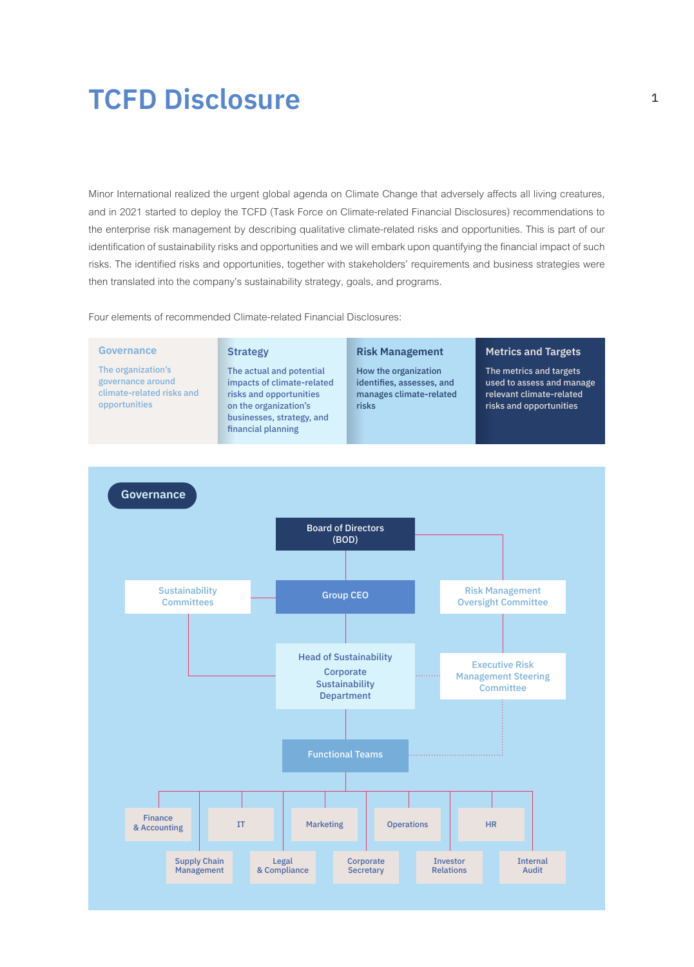# **TCFD Disclosure**

Minor International realized the urgent global agenda on Climate Change that adversely affects all living creatures, and in 2021 started to deploy the TCFD (Task Force on Climate-related Financial Disclosures) recommendations to the enterprise risk management by describing qualitative climate-related risks and opportunities. This is part of our identification of sustainability risks and opportunities and we will embark upon quantifying the financial impact of such risks. The identified risks and opportunities, together with stakeholders' requirements and business strategies were then translated into the company's sustainability strategy, goals, and programs.

Four elements of recommended Climate-related Financial Disclosures:

#### **Governance**

The organization's governance around climate-related risks and opportunities

#### **Strategy**

The actual and potential impacts of climate-related risks and opportunities on the organization's businesses, strategy, and financial planning

#### **Risk Management**

How the organization identifies, assesses, and manages climate-related risks

#### **Metrics and Targets**

The metrics and targets used to assess and manage relevant climate-related risks and opportunities

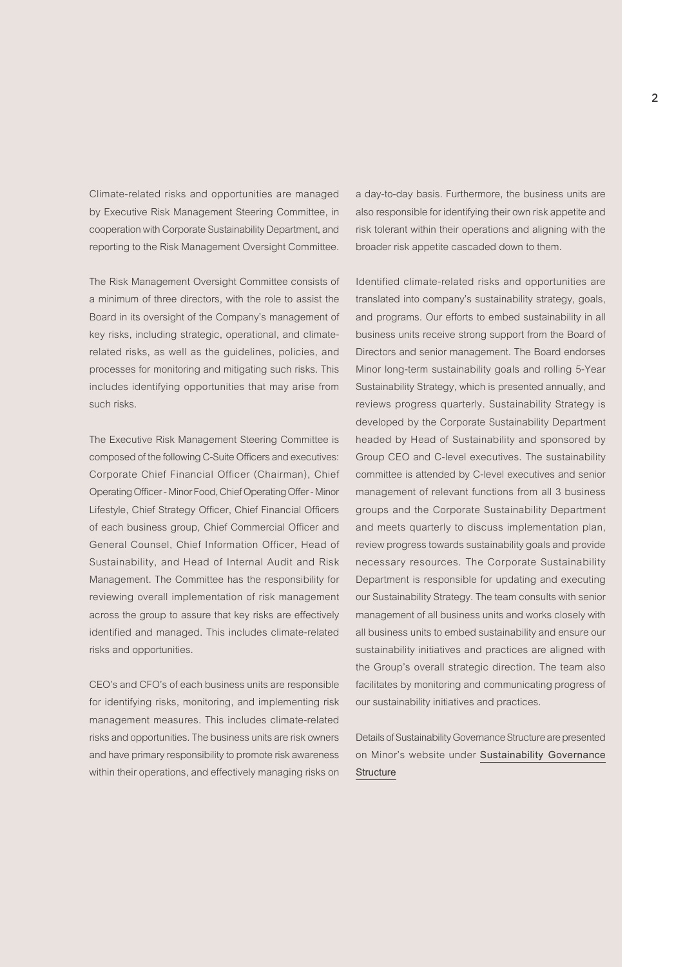Climate-related risks and opportunities are managed by Executive Risk Management Steering Committee, in cooperation with Corporate Sustainability Department, and reporting to the Risk Management Oversight Committee.

The Risk Management Oversight Committee consists of a minimum of three directors, with the role to assist the Board in its oversight of the Company's management of key risks, including strategic, operational, and climaterelated risks, as well as the guidelines, policies, and processes for monitoring and mitigating such risks. This includes identifying opportunities that may arise from such risks.

The Executive Risk Management Steering Committee is composed of the following C-Suite Officers and executives: Corporate Chief Financial Officer (Chairman), Chief Operating Officer - Minor Food, Chief Operating Offer - Minor Lifestyle, Chief Strategy Officer, Chief Financial Officers of each business group, Chief Commercial Officer and General Counsel, Chief Information Officer, Head of Sustainability, and Head of Internal Audit and Risk Management. The Committee has the responsibility for reviewing overall implementation of risk management across the group to assure that key risks are effectively identified and managed. This includes climate-related risks and opportunities.

CEO's and CFO's of each business units are responsible for identifying risks, monitoring, and implementing risk management measures. This includes climate-related risks and opportunities. The business units are risk owners and have primary responsibility to promote risk awareness within their operations, and effectively managing risks on a day-to-day basis. Furthermore, the business units are also responsible for identifying their own risk appetite and risk tolerant within their operations and aligning with the broader risk appetite cascaded down to them.

Identified climate-related risks and opportunities are translated into company's sustainability strategy, goals, and programs. Our efforts to embed sustainability in all business units receive strong support from the Board of Directors and senior management. The Board endorses Minor long-term sustainability goals and rolling 5-Year Sustainability Strategy, which is presented annually, and reviews progress quarterly. Sustainability Strategy is developed by the Corporate Sustainability Department headed by Head of Sustainability and sponsored by Group CEO and C-level executives. The sustainability committee is attended by C-level executives and senior management of relevant functions from all 3 business groups and the Corporate Sustainability Department and meets quarterly to discuss implementation plan, review progress towards sustainability goals and provide necessary resources. The Corporate Sustainability Department is responsible for updating and executing our Sustainability Strategy. The team consults with senior management of all business units and works closely with all business units to embed sustainability and ensure our sustainability initiatives and practices are aligned with the Group's overall strategic direction. The team also facilitates by monitoring and communicating progress of our sustainability initiatives and practices.

Details of Sustainability Governance Structure are presented on Minor's website under **[Sustainability Governance](https://www.minor.com/en/sustainability/
sustainability-governance-structure)  [Structure](https://www.minor.com/en/sustainability/
sustainability-governance-structure)**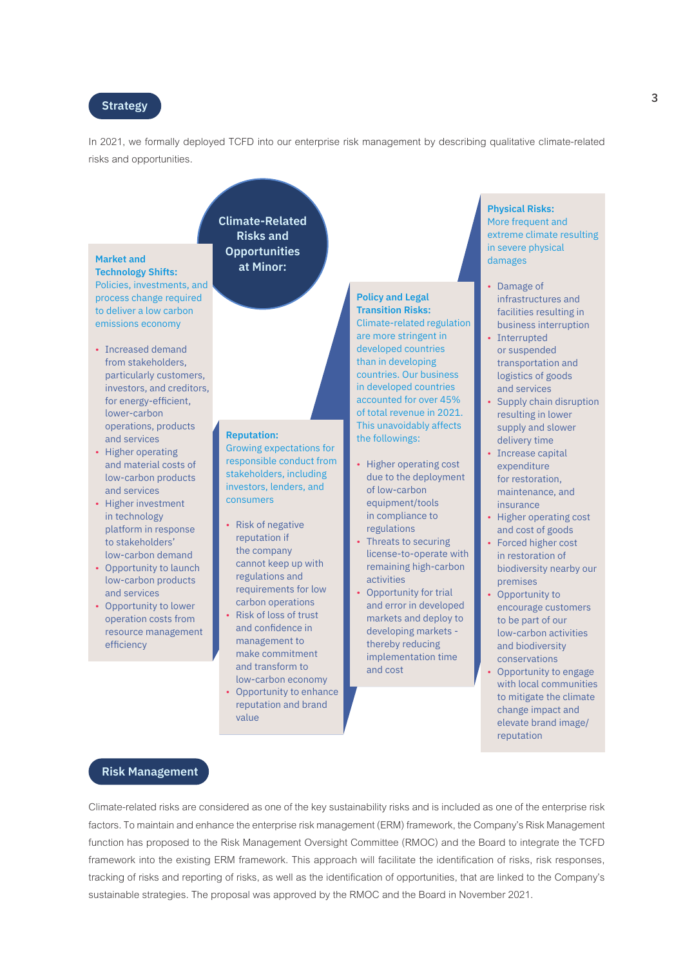### **Strategy**

In 2021, we formally deployed TCFD into our enterprise risk management by describing qualitative climate-related risks and opportunities.



tracking of risks and reporting of risks, as well as the identification of opportunities, that are linked to the Company's

sustainable strategies. The proposal was approved by the RMOC and the Board in November 2021.

3